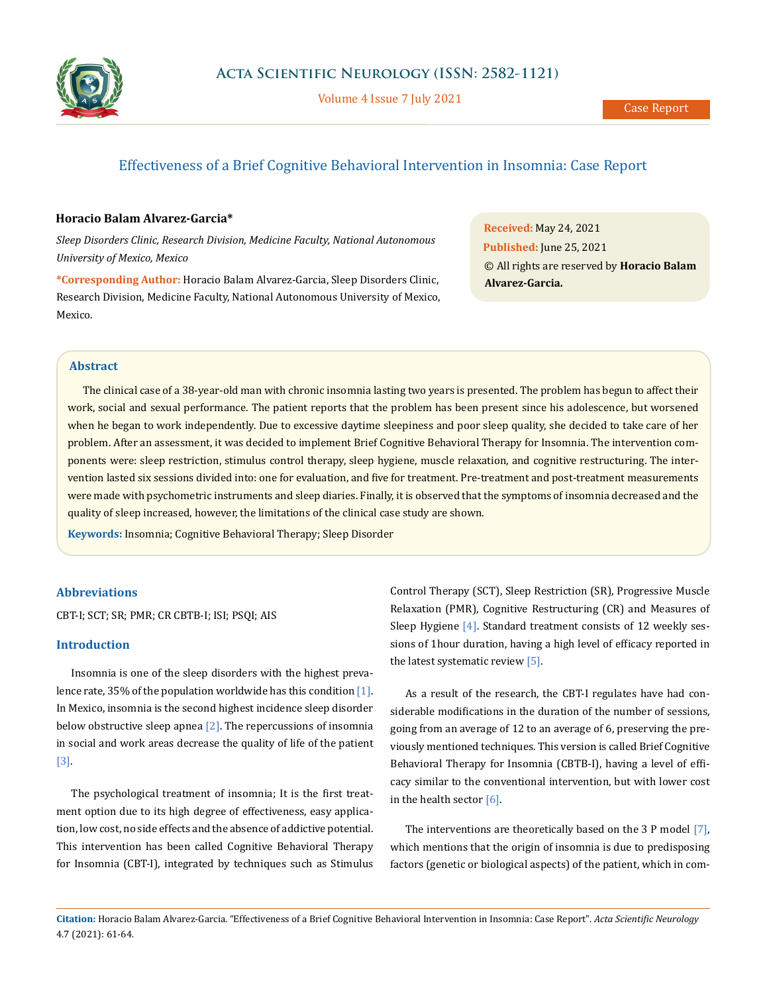

Volume 4 Issue 7 July 2021

# Effectiveness of a Brief Cognitive Behavioral Intervention in Insomnia: Case Report

## **Horacio Balam Alvarez-Garcia\***

*Sleep Disorders Clinic, Research Division, Medicine Faculty, National Autonomous University of Mexico, Mexico*

**\*Corresponding Author:** Horacio Balam Alvarez-Garcia, Sleep Disorders Clinic, Research Division, Medicine Faculty, National Autonomous University of Mexico, Mexico.

**Received:** May 24, 2021 **Published:** June 25, 2021 © All rights are reserved by **Horacio Balam Alvarez-Garcia.**

## **Abstract**

The clinical case of a 38-year-old man with chronic insomnia lasting two years is presented. The problem has begun to affect their work, social and sexual performance. The patient reports that the problem has been present since his adolescence, but worsened when he began to work independently. Due to excessive daytime sleepiness and poor sleep quality, she decided to take care of her problem. After an assessment, it was decided to implement Brief Cognitive Behavioral Therapy for Insomnia. The intervention components were: sleep restriction, stimulus control therapy, sleep hygiene, muscle relaxation, and cognitive restructuring. The intervention lasted six sessions divided into: one for evaluation, and five for treatment. Pre-treatment and post-treatment measurements were made with psychometric instruments and sleep diaries. Finally, it is observed that the symptoms of insomnia decreased and the quality of sleep increased, however, the limitations of the clinical case study are shown.

**Keywords:** Insomnia; Cognitive Behavioral Therapy; Sleep Disorder

## **Abbreviations**

CBT-I; SCT; SR; PMR; CR CBTB-I; ISI; PSQI; AIS

### **Introduction**

Insomnia is one of the sleep disorders with the highest prevalence rate, 35% of the population worldwide has this condition  $[1]$ . In Mexico, insomnia is the second highest incidence sleep disorder below obstructive sleep apnea  $[2]$ . The repercussions of insomnia in social and work areas decrease the quality of life of the patient [3].

The psychological treatment of insomnia; It is the first treatment option due to its high degree of effectiveness, easy application, low cost, no side effects and the absence of addictive potential. This intervention has been called Cognitive Behavioral Therapy for Insomnia (CBT-I), integrated by techniques such as Stimulus

Control Therapy (SCT), Sleep Restriction (SR), Progressive Muscle Relaxation (PMR), Cognitive Restructuring (CR) and Measures of Sleep Hygiene [4]. Standard treatment consists of 12 weekly sessions of 1hour duration, having a high level of efficacy reported in the latest systematic review [5].

As a result of the research, the CBT-I regulates have had considerable modifications in the duration of the number of sessions, going from an average of 12 to an average of 6, preserving the previously mentioned techniques. This version is called Brief Cognitive Behavioral Therapy for Insomnia (CBTB-I), having a level of efficacy similar to the conventional intervention, but with lower cost in the health sector [6].

The interventions are theoretically based on the 3 P model [7], which mentions that the origin of insomnia is due to predisposing factors (genetic or biological aspects) of the patient, which in com-

**Citation:** Horacio Balam Alvarez-Garcia*.* "Effectiveness of a Brief Cognitive Behavioral Intervention in Insomnia: Case Report". *Acta Scientific Neurology*  4.7 (2021): 61-64.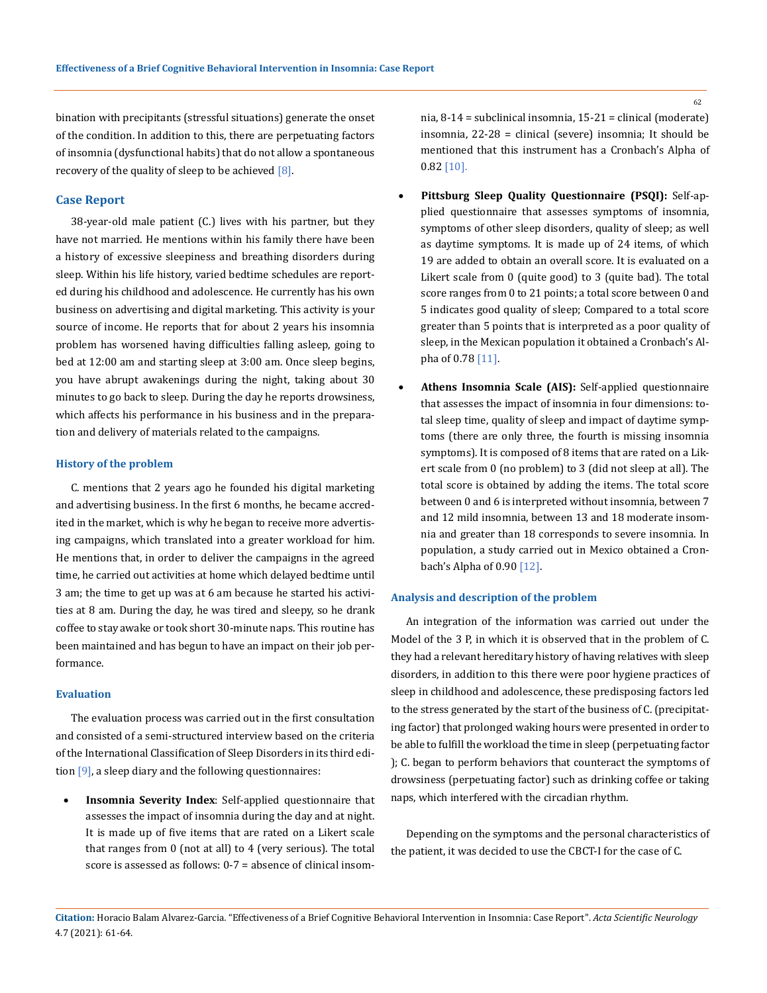bination with precipitants (stressful situations) generate the onset of the condition. In addition to this, there are perpetuating factors of insomnia (dysfunctional habits) that do not allow a spontaneous recovery of the quality of sleep to be achieved  $[8]$ .

## **Case Report**

38-year-old male patient (C.) lives with his partner, but they have not married. He mentions within his family there have been a history of excessive sleepiness and breathing disorders during sleep. Within his life history, varied bedtime schedules are reported during his childhood and adolescence. He currently has his own business on advertising and digital marketing. This activity is your source of income. He reports that for about 2 years his insomnia problem has worsened having difficulties falling asleep, going to bed at 12:00 am and starting sleep at 3:00 am. Once sleep begins, you have abrupt awakenings during the night, taking about 30 minutes to go back to sleep. During the day he reports drowsiness, which affects his performance in his business and in the preparation and delivery of materials related to the campaigns.

#### **History of the problem**

C. mentions that 2 years ago he founded his digital marketing and advertising business. In the first 6 months, he became accredited in the market, which is why he began to receive more advertising campaigns, which translated into a greater workload for him. He mentions that, in order to deliver the campaigns in the agreed time, he carried out activities at home which delayed bedtime until 3 am; the time to get up was at 6 am because he started his activities at 8 am. During the day, he was tired and sleepy, so he drank coffee to stay awake or took short 30-minute naps. This routine has been maintained and has begun to have an impact on their job performance.

#### **Evaluation**

The evaluation process was carried out in the first consultation and consisted of a semi-structured interview based on the criteria of the International Classification of Sleep Disorders in its third edition [9], a sleep diary and the following questionnaires:

**Insomnia Severity Index:** Self-applied questionnaire that assesses the impact of insomnia during the day and at night. It is made up of five items that are rated on a Likert scale that ranges from 0 (not at all) to 4 (very serious). The total score is assessed as follows: 0-7 = absence of clinical insomnia, 8-14 = subclinical insomnia, 15-21 = clinical (moderate) insomnia, 22-28 = clinical (severe) insomnia; It should be mentioned that this instrument has a Cronbach's Alpha of 0.82 [10].

- **Pittsburg Sleep Quality Questionnaire (PSQI):** Self-applied questionnaire that assesses symptoms of insomnia, symptoms of other sleep disorders, quality of sleep; as well as daytime symptoms. It is made up of 24 items, of which 19 are added to obtain an overall score. It is evaluated on a Likert scale from 0 (quite good) to 3 (quite bad). The total score ranges from 0 to 21 points; a total score between 0 and 5 indicates good quality of sleep; Compared to a total score greater than 5 points that is interpreted as a poor quality of sleep, in the Mexican population it obtained a Cronbach's Alpha of 0.78 [11].
- Athens Insomnia Scale (AIS): Self-applied questionnaire that assesses the impact of insomnia in four dimensions: total sleep time, quality of sleep and impact of daytime symptoms (there are only three, the fourth is missing insomnia symptoms). It is composed of 8 items that are rated on a Likert scale from 0 (no problem) to 3 (did not sleep at all). The total score is obtained by adding the items. The total score between 0 and 6 is interpreted without insomnia, between 7 and 12 mild insomnia, between 13 and 18 moderate insomnia and greater than 18 corresponds to severe insomnia. In population, a study carried out in Mexico obtained a Cronbach's Alpha of 0.90 [12].

#### **Analysis and description of the problem**

An integration of the information was carried out under the Model of the 3 P, in which it is observed that in the problem of C. they had a relevant hereditary history of having relatives with sleep disorders, in addition to this there were poor hygiene practices of sleep in childhood and adolescence, these predisposing factors led to the stress generated by the start of the business of C. (precipitating factor) that prolonged waking hours were presented in order to be able to fulfill the workload the time in sleep (perpetuating factor ); C. began to perform behaviors that counteract the symptoms of drowsiness (perpetuating factor) such as drinking coffee or taking naps, which interfered with the circadian rhythm.

Depending on the symptoms and the personal characteristics of the patient, it was decided to use the CBCT-I for the case of C.

**Citation:** Horacio Balam Alvarez-Garcia*.* "Effectiveness of a Brief Cognitive Behavioral Intervention in Insomnia: Case Report". *Acta Scientific Neurology*  4.7 (2021): 61-64.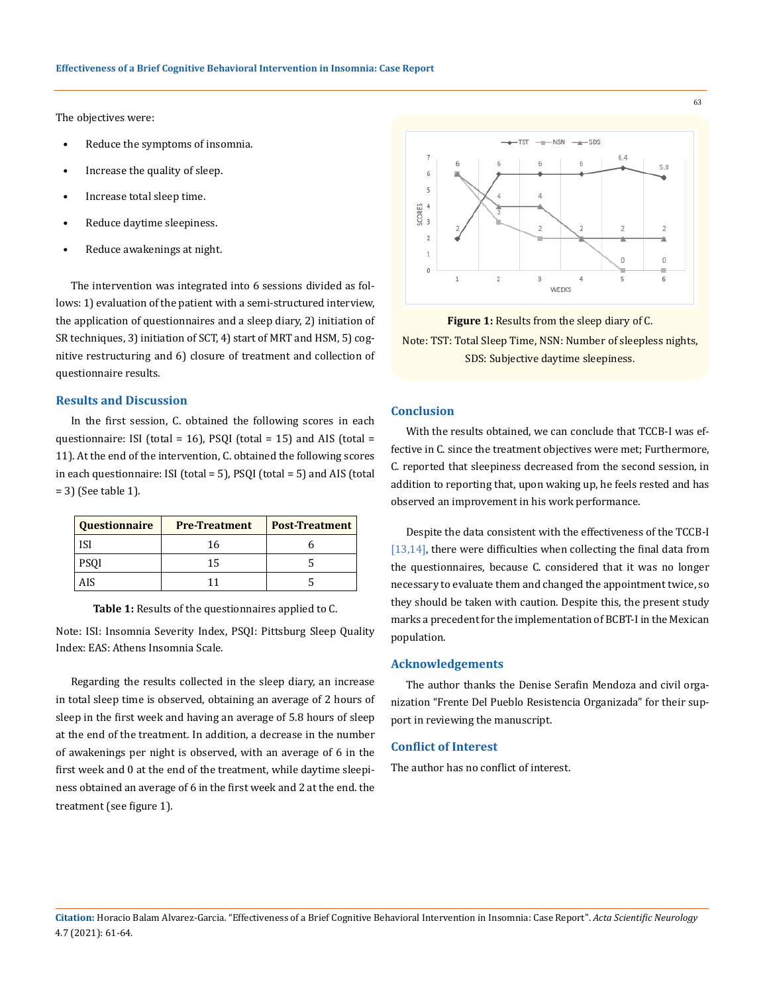The objectives were:

- Reduce the symptoms of insomnia.
- Increase the quality of sleep.
- Increase total sleep time.
- Reduce daytime sleepiness.
- Reduce awakenings at night.

The intervention was integrated into 6 sessions divided as follows: 1) evaluation of the patient with a semi-structured interview, the application of questionnaires and a sleep diary, 2) initiation of SR techniques, 3) initiation of SCT, 4) start of MRT and HSM, 5) cognitive restructuring and 6) closure of treatment and collection of questionnaire results.

## **Results and Discussion**

In the first session, C. obtained the following scores in each questionnaire: ISI (total = 16), PSQI (total = 15) and AIS (total = 11). At the end of the intervention, C. obtained the following scores in each questionnaire: ISI (total = 5), PSQI (total = 5) and AIS (total = 3) (See table 1).

| Questionnaire | <b>Pre-Treatment</b> | <b>Post-Treatment</b> |
|---------------|----------------------|-----------------------|
| ISI           | 16                   |                       |
| <b>PSOI</b>   | 15                   |                       |
| AIS           |                      |                       |

**Table 1:** Results of the questionnaires applied to C.

Note: ISI: Insomnia Severity Index, PSQI: Pittsburg Sleep Quality Index: EAS: Athens Insomnia Scale.

Regarding the results collected in the sleep diary, an increase in total sleep time is observed, obtaining an average of 2 hours of sleep in the first week and having an average of 5.8 hours of sleep at the end of the treatment. In addition, a decrease in the number of awakenings per night is observed, with an average of 6 in the first week and 0 at the end of the treatment, while daytime sleepiness obtained an average of 6 in the first week and 2 at the end. the treatment (see figure 1).



#### **Figure 1:** Results from the sleep diary of C.

Note: TST: Total Sleep Time, NSN: Number of sleepless nights, SDS: Subjective daytime sleepiness.

## **Conclusion**

With the results obtained, we can conclude that TCCB-I was effective in C. since the treatment objectives were met; Furthermore, C. reported that sleepiness decreased from the second session, in addition to reporting that, upon waking up, he feels rested and has observed an improvement in his work performance.

Despite the data consistent with the effectiveness of the TCCB-I [13,14], there were difficulties when collecting the final data from the questionnaires, because C. considered that it was no longer necessary to evaluate them and changed the appointment twice, so they should be taken with caution. Despite this, the present study marks a precedent for the implementation of BCBT-I in the Mexican population.

#### **Acknowledgements**

The author thanks the Denise Serafin Mendoza and civil organization "Frente Del Pueblo Resistencia Organizada" for their support in reviewing the manuscript.

#### **Conflict of Interest**

The author has no conflict of interest.